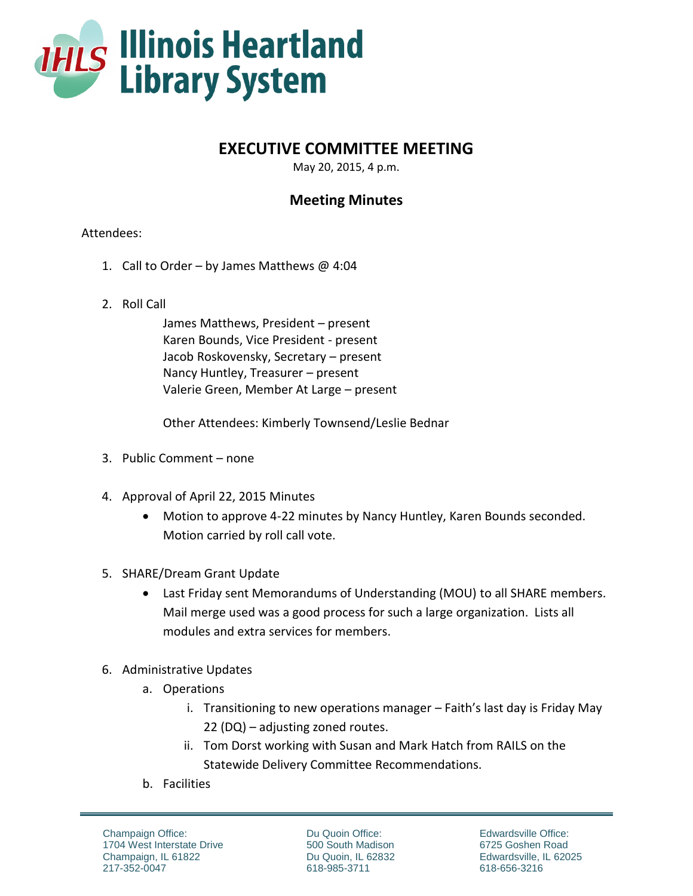

## **EXECUTIVE COMMITTEE MEETING**

May 20, 2015, 4 p.m.

## **Meeting Minutes**

## Attendees:

- 1. Call to Order by James Matthews @ 4:04
- 2. Roll Call

James Matthews, President – present Karen Bounds, Vice President - present Jacob Roskovensky, Secretary – present Nancy Huntley, Treasurer – present Valerie Green, Member At Large – present

Other Attendees: Kimberly Townsend/Leslie Bednar

- 3. Public Comment none
- 4. Approval of April 22, 2015 Minutes
	- Motion to approve 4-22 minutes by Nancy Huntley, Karen Bounds seconded. Motion carried by roll call vote.
- 5. SHARE/Dream Grant Update
	- Last Friday sent Memorandums of Understanding (MOU) to all SHARE members. Mail merge used was a good process for such a large organization. Lists all modules and extra services for members.
- 6. Administrative Updates
	- a. Operations
		- i. Transitioning to new operations manager Faith's last day is Friday May 22 (DQ) – adjusting zoned routes.
		- ii. Tom Dorst working with Susan and Mark Hatch from RAILS on the Statewide Delivery Committee Recommendations.
	- b. Facilities

Champaign Office: 1704 West Interstate Drive Champaign, IL 61822 217-352-0047

Du Quoin Office: 500 South Madison Du Quoin, IL 62832 618-985-3711

Edwardsville Office: 6725 Goshen Road Edwardsville, IL 62025 618-656-3216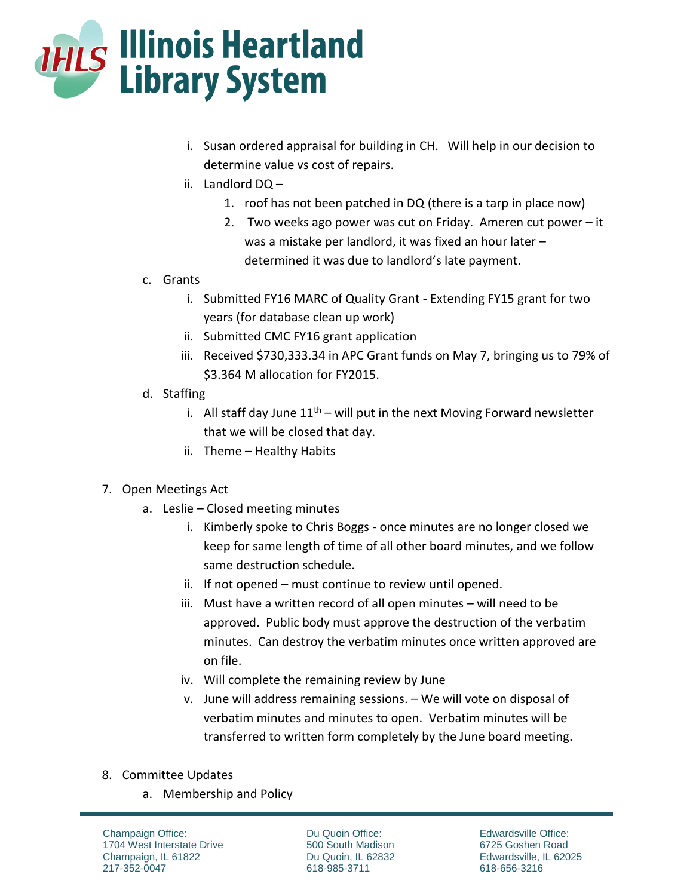

- i. Susan ordered appraisal for building in CH. Will help in our decision to determine value vs cost of repairs.
- ii. Landlord DQ
	- 1. roof has not been patched in DQ (there is a tarp in place now)
	- 2. Two weeks ago power was cut on Friday. Ameren cut power it was a mistake per landlord, it was fixed an hour later – determined it was due to landlord's late payment.
- c. Grants
	- i. Submitted FY16 MARC of Quality Grant Extending FY15 grant for two years (for database clean up work)
	- ii. Submitted CMC FY16 grant application
	- iii. Received \$730,333.34 in APC Grant funds on May 7, bringing us to 79% of \$3.364 M allocation for FY2015.
- d. Staffing
	- i. All staff day June  $11<sup>th</sup>$  will put in the next Moving Forward newsletter that we will be closed that day.
	- ii. Theme Healthy Habits

## 7. Open Meetings Act

- a. Leslie Closed meeting minutes
	- i. Kimberly spoke to Chris Boggs once minutes are no longer closed we keep for same length of time of all other board minutes, and we follow same destruction schedule.
	- ii. If not opened must continue to review until opened.
	- iii. Must have a written record of all open minutes will need to be approved. Public body must approve the destruction of the verbatim minutes. Can destroy the verbatim minutes once written approved are on file.
	- iv. Will complete the remaining review by June
	- v. June will address remaining sessions. We will vote on disposal of verbatim minutes and minutes to open. Verbatim minutes will be transferred to written form completely by the June board meeting.
- 8. Committee Updates
	- a. Membership and Policy

Champaign Office: 1704 West Interstate Drive Champaign, IL 61822 217-352-0047

Du Quoin Office: 500 South Madison Du Quoin, IL 62832 618-985-3711

Edwardsville Office: 6725 Goshen Road Edwardsville, IL 62025 618-656-3216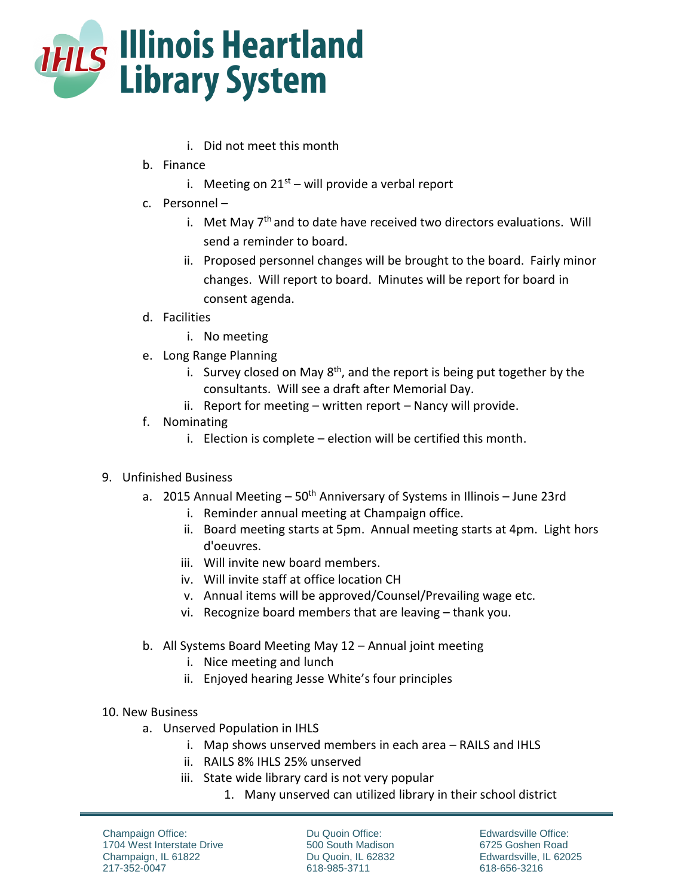

- i. Did not meet this month
- b. Finance
	- i. Meeting on  $21<sup>st</sup>$  will provide a verbal report
- c. Personnel
	- i. Met May  $7<sup>th</sup>$  and to date have received two directors evaluations. Will send a reminder to board.
	- ii. Proposed personnel changes will be brought to the board. Fairly minor changes. Will report to board. Minutes will be report for board in consent agenda.
- d. Facilities
	- i. No meeting
- e. Long Range Planning
	- i. Survey closed on May  $8<sup>th</sup>$ , and the report is being put together by the consultants. Will see a draft after Memorial Day.
	- ii. Report for meeting written report Nancy will provide.
- f. Nominating
	- i. Election is complete election will be certified this month.
- 9. Unfinished Business
	- a. 2015 Annual Meeting  $-50$ <sup>th</sup> Anniversary of Systems in Illinois  $-$  June 23rd
		- i. Reminder annual meeting at Champaign office.
		- ii. Board meeting starts at 5pm. Annual meeting starts at 4pm. Light hors d'oeuvres.
		- iii. Will invite new board members.
		- iv. Will invite staff at office location CH
		- v. Annual items will be approved/Counsel/Prevailing wage etc.
		- vi. Recognize board members that are leaving thank you.
	- b. All Systems Board Meeting May 12 Annual joint meeting
		- i. Nice meeting and lunch
		- ii. Enjoyed hearing Jesse White's four principles
- 10. New Business
	- a. Unserved Population in IHLS
		- i. Map shows unserved members in each area RAILS and IHLS
		- ii. RAILS 8% IHLS 25% unserved
		- iii. State wide library card is not very popular
			- 1. Many unserved can utilized library in their school district

Champaign Office: 1704 West Interstate Drive Champaign, IL 61822 217-352-0047

Du Quoin Office: 500 South Madison Du Quoin, IL 62832 618-985-3711

Edwardsville Office: 6725 Goshen Road Edwardsville, IL 62025 618-656-3216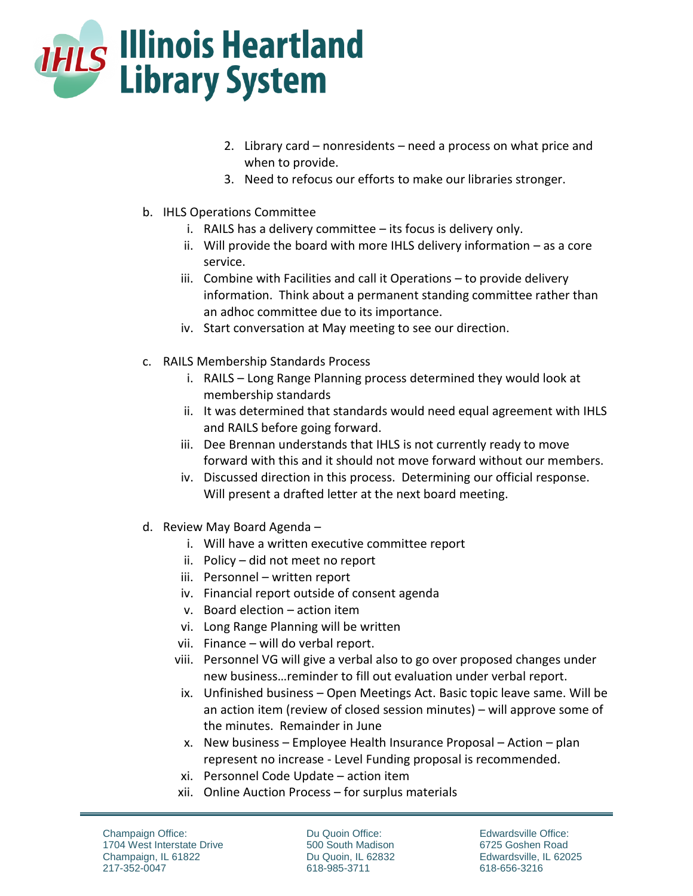

- 2. Library card nonresidents need a process on what price and when to provide.
- 3. Need to refocus our efforts to make our libraries stronger.
- b. IHLS Operations Committee
	- i. RAILS has a delivery committee its focus is delivery only.
	- ii. Will provide the board with more IHLS delivery information as a core service.
	- iii. Combine with Facilities and call it Operations to provide delivery information. Think about a permanent standing committee rather than an adhoc committee due to its importance.
	- iv. Start conversation at May meeting to see our direction.
- c. RAILS Membership Standards Process
	- i. RAILS Long Range Planning process determined they would look at membership standards
	- ii. It was determined that standards would need equal agreement with IHLS and RAILS before going forward.
	- iii. Dee Brennan understands that IHLS is not currently ready to move forward with this and it should not move forward without our members.
	- iv. Discussed direction in this process. Determining our official response. Will present a drafted letter at the next board meeting.
- d. Review May Board Agenda
	- i. Will have a written executive committee report
	- ii. Policy did not meet no report
	- iii. Personnel written report
	- iv. Financial report outside of consent agenda
	- v. Board election action item
	- vi. Long Range Planning will be written
	- vii. Finance will do verbal report.
	- viii. Personnel VG will give a verbal also to go over proposed changes under new business…reminder to fill out evaluation under verbal report.
	- ix. Unfinished business Open Meetings Act. Basic topic leave same. Will be an action item (review of closed session minutes) – will approve some of the minutes. Remainder in June
	- x. New business Employee Health Insurance Proposal Action plan represent no increase - Level Funding proposal is recommended.
	- xi. Personnel Code Update action item
	- xii. Online Auction Process for surplus materials